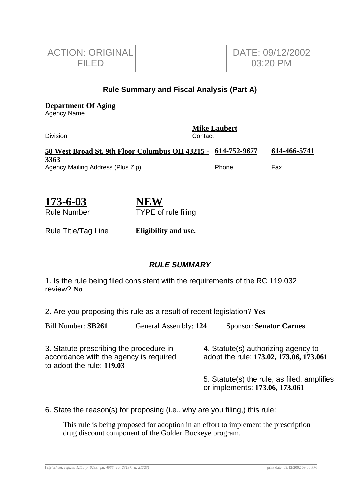

## **Rule Summary and Fiscal Analysis (Part A)**

**Department Of Aging**

Agency Name

| <b>Division</b>                                              | <b>Mike Laubert</b><br>Contact |  |              |  |
|--------------------------------------------------------------|--------------------------------|--|--------------|--|
| 50 West Broad St. 9th Floor Columbus OH 43215 - 614-752-9677 |                                |  | 614-466-5741 |  |
| 3363                                                         |                                |  |              |  |
| Agency Mailing Address (Plus Zip)                            | Phone                          |  | Fax          |  |

| 173-6-03           | <b>NEW</b>                 |
|--------------------|----------------------------|
| <b>Rule Number</b> | <b>TYPE</b> of rule filing |

Rule Title/Tag Line **Eligibility and use.**

## **RULE SUMMARY**

1. Is the rule being filed consistent with the requirements of the RC 119.032 review? **No**

2. Are you proposing this rule as a result of recent legislation? **Yes**

Bill Number: **SB261** General Assembly: **124** Sponsor: **Senator Carnes**

3. Statute prescribing the procedure in accordance with the agency is required to adopt the rule: **119.03**

4. Statute(s) authorizing agency to adopt the rule: **173.02, 173.06, 173.061**

5. Statute(s) the rule, as filed, amplifies or implements: **173.06, 173.061**

6. State the reason(s) for proposing (i.e., why are you filing,) this rule:

This rule is being proposed for adoption in an effort to implement the prescription drug discount component of the Golden Buckeye program.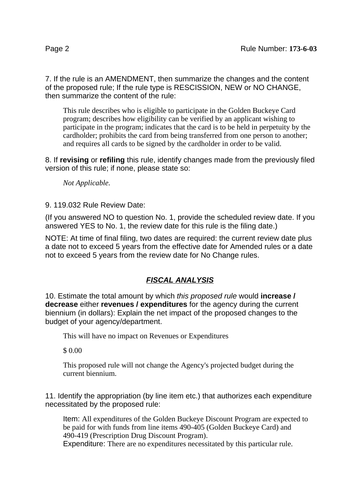7. If the rule is an AMENDMENT, then summarize the changes and the content of the proposed rule; If the rule type is RESCISSION, NEW or NO CHANGE, then summarize the content of the rule:

This rule describes who is eligible to participate in the Golden Buckeye Card program; describes how eligibility can be verified by an applicant wishing to participate in the program; indicates that the card is to be held in perpetuity by the cardholder; prohibits the card from being transferred from one person to another; and requires all cards to be signed by the cardholder in order to be valid.

8. If **revising** or **refiling** this rule, identify changes made from the previously filed version of this rule; if none, please state so:

*Not Applicable.*

9. 119.032 Rule Review Date:

(If you answered NO to question No. 1, provide the scheduled review date. If you answered YES to No. 1, the review date for this rule is the filing date.)

NOTE: At time of final filing, two dates are required: the current review date plus a date not to exceed 5 years from the effective date for Amended rules or a date not to exceed 5 years from the review date for No Change rules.

## **FISCAL ANALYSIS**

10. Estimate the total amount by which this proposed rule would **increase / decrease** either **revenues / expenditures** for the agency during the current biennium (in dollars): Explain the net impact of the proposed changes to the budget of your agency/department.

This will have no impact on Revenues or Expenditures

\$ 0.00

This proposed rule will not change the Agency's projected budget during the current biennium.

11. Identify the appropriation (by line item etc.) that authorizes each expenditure necessitated by the proposed rule:

Item: All expenditures of the Golden Buckeye Discount Program are expected to be paid for with funds from line items 490-405 (Golden Buckeye Card) and 490-419 (Prescription Drug Discount Program).

Expenditure: There are no expenditures necessitated by this particular rule.